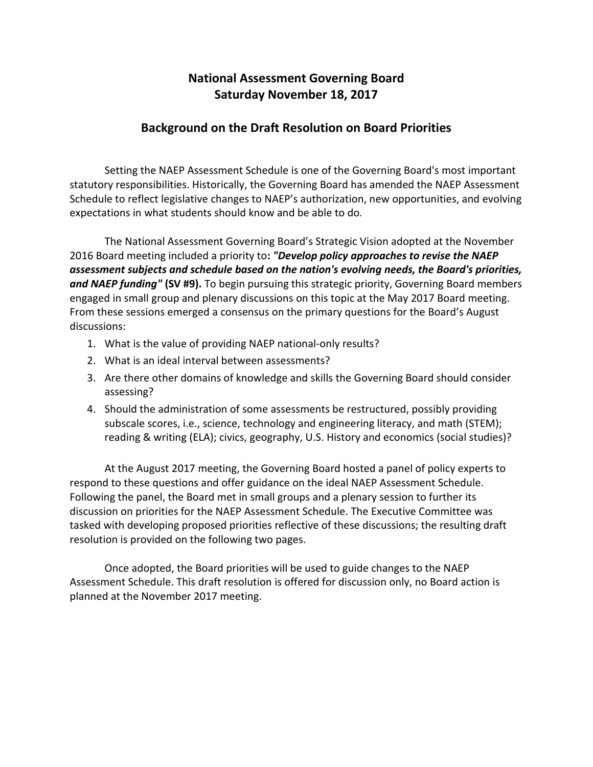## **National Assessment Governing Board Saturday November 18, 2017**

## **Background on the Draft Resolution on Board Priorities**

Setting the NAEP Assessment Schedule is one of the Governing Board's most important statutory responsibilities. Historically, the Governing Board has amended the NAEP Assessment Schedule to reflect legislative changes to NAEP's authorization, new opportunities, and evolving expectations in what students should know and be able to do*.*

The National Assessment Governing Board's Strategic Vision adopted at the November 2016 Board meeting included a priority to**:** *"Develop policy approaches to revise the NAEP assessment subjects and schedule based on the nation's evolving needs, the Board's priorities, and NAEP funding"* **(SV #9).** To begin pursuing this strategic priority, Governing Board members engaged in small group and plenary discussions on this topic at the May 2017 Board meeting. From these sessions emerged a consensus on the primary questions for the Board's August discussions:

- 1. What is the value of providing NAEP national-only results?
- 2. What is an ideal interval between assessments?
- 3. Are there other domains of knowledge and skills the Governing Board should consider assessing?
- 4. Should the administration of some assessments be restructured, possibly providing subscale scores, i.e., science, technology and engineering literacy, and math (STEM); reading & writing (ELA); civics, geography, U.S. History and economics (social studies)?

At the August 2017 meeting, the Governing Board hosted a panel of policy experts to respond to these questions and offer guidance on the ideal NAEP Assessment Schedule. Following the panel, the Board met in small groups and a plenary session to further its discussion on priorities for the NAEP Assessment Schedule. The Executive Committee was tasked with developing proposed priorities reflective of these discussions; the resulting draft resolution is provided on the following two pages.

Once adopted, the Board priorities will be used to guide changes to the NAEP Assessment Schedule. This draft resolution is offered for discussion only, no Board action is planned at the November 2017 meeting.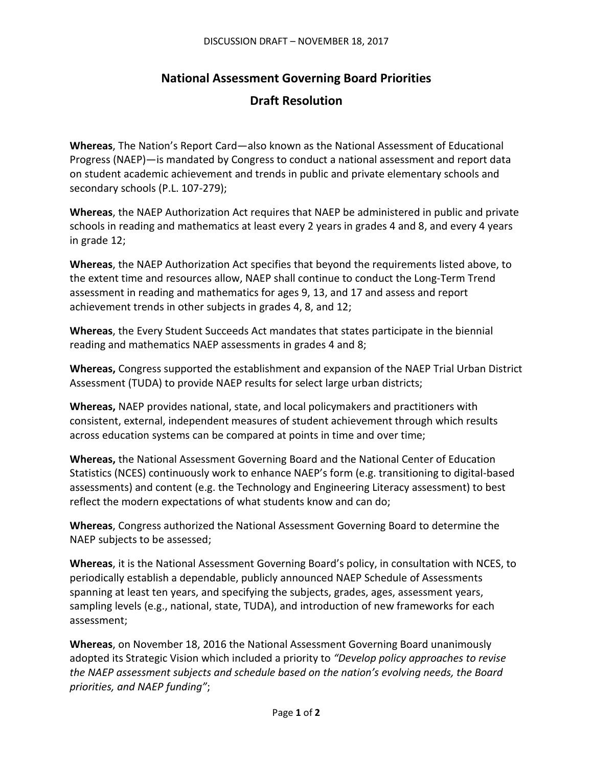## **National Assessment Governing Board Priorities Draft Resolution**

**Whereas**, The Nation's Report Card—also known as the National Assessment of Educational Progress (NAEP)—is mandated by Congress to conduct a national assessment and report data on student academic achievement and trends in public and private elementary schools and secondary schools (P.L. 107-279);

**Whereas**, the NAEP Authorization Act requires that NAEP be administered in public and private schools in reading and mathematics at least every 2 years in grades 4 and 8, and every 4 years in grade 12;

**Whereas**, the NAEP Authorization Act specifies that beyond the requirements listed above, to the extent time and resources allow, NAEP shall continue to conduct the Long-Term Trend assessment in reading and mathematics for ages 9, 13, and 17 and assess and report achievement trends in other subjects in grades 4, 8, and 12;

**Whereas**, the Every Student Succeeds Act mandates that states participate in the biennial reading and mathematics NAEP assessments in grades 4 and 8;

**Whereas,** Congress supported the establishment and expansion of the NAEP Trial Urban District Assessment (TUDA) to provide NAEP results for select large urban districts;

**Whereas,** NAEP provides national, state, and local policymakers and practitioners with consistent, external, independent measures of student achievement through which results across education systems can be compared at points in time and over time;

**Whereas,** the National Assessment Governing Board and the National Center of Education Statistics (NCES) continuously work to enhance NAEP's form (e.g. transitioning to digital-based assessments) and content (e.g. the Technology and Engineering Literacy assessment) to best reflect the modern expectations of what students know and can do;

**Whereas**, Congress authorized the National Assessment Governing Board to determine the NAEP subjects to be assessed;

**Whereas**, it is the National Assessment Governing Board's policy, in consultation with NCES, to periodically establish a dependable, publicly announced NAEP Schedule of Assessments spanning at least ten years, and specifying the subjects, grades, ages, assessment years, sampling levels (e.g., national, state, TUDA), and introduction of new frameworks for each assessment;

**Whereas**, on November 18, 2016 the National Assessment Governing Board unanimously adopted its Strategic Vision which included a priority to *"Develop policy approaches to revise the NAEP assessment subjects and schedule based on the nation's evolving needs, the Board priorities, and NAEP funding"*;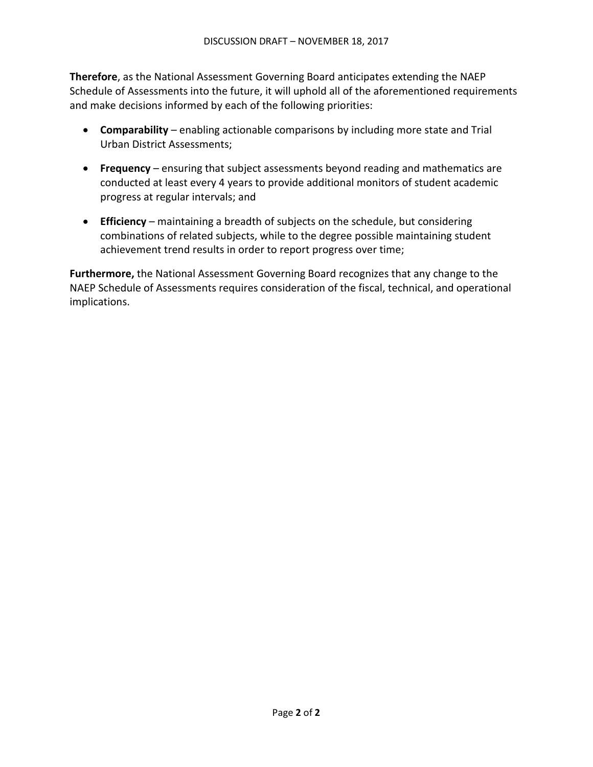**Therefore**, as the National Assessment Governing Board anticipates extending the NAEP Schedule of Assessments into the future, it will uphold all of the aforementioned requirements and make decisions informed by each of the following priorities:

- **Comparability**  enabling actionable comparisons by including more state and Trial Urban District Assessments;
- **Frequency** ensuring that subject assessments beyond reading and mathematics are conducted at least every 4 years to provide additional monitors of student academic progress at regular intervals; and
- **Efficiency** maintaining a breadth of subjects on the schedule, but considering combinations of related subjects, while to the degree possible maintaining student achievement trend results in order to report progress over time;

**Furthermore,** the National Assessment Governing Board recognizes that any change to the NAEP Schedule of Assessments requires consideration of the fiscal, technical, and operational implications.